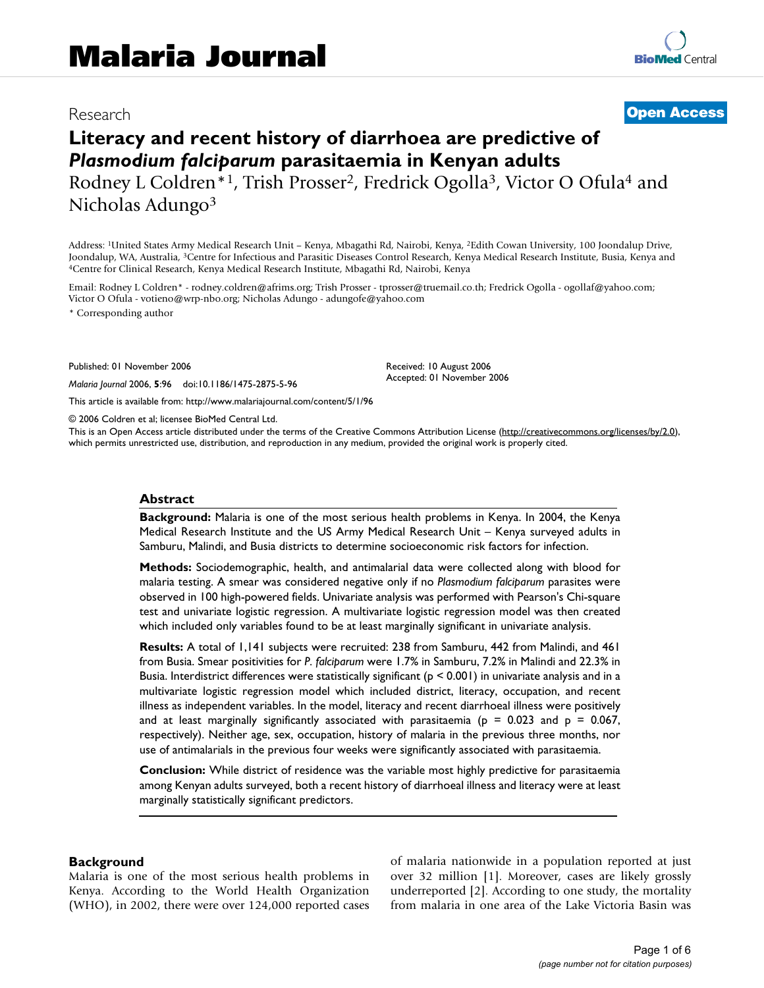## Research **[Open Access](http://www.biomedcentral.com/info/about/charter/)**

# **Literacy and recent history of diarrhoea are predictive of**  *Plasmodium falciparum* **parasitaemia in Kenyan adults**

Rodney L Coldren\*<sup>1</sup>, Trish Prosser<sup>2</sup>, Fredrick Ogolla<sup>3</sup>, Victor O Ofula<sup>4</sup> and Nicholas Adungo3

Address: 1United States Army Medical Research Unit – Kenya, Mbagathi Rd, Nairobi, Kenya, 2Edith Cowan University, 100 Joondalup Drive, Joondalup, WA, Australia, <sup>3</sup>Centre for Infectious and Parasitic Diseases Control Research, Kenya Medical Research Institute, Busia, Kenya and <sup>4</sup>Centre for Clinical Research, Kenya and <sup>4</sup>Centre for Clinical Research, Ken

Email: Rodney L Coldren\* - rodney.coldren@afrims.org; Trish Prosser - tprosser@truemail.co.th; Fredrick Ogolla - ogollaf@yahoo.com; Victor O Ofula - votieno@wrp-nbo.org; Nicholas Adungo - adungofe@yahoo.com

\* Corresponding author

Published: 01 November 2006

*Malaria Journal* 2006, **5**:96 doi:10.1186/1475-2875-5-96

[This article is available from: http://www.malariajournal.com/content/5/1/96](http://www.malariajournal.com/content/5/1/96)

© 2006 Coldren et al; licensee BioMed Central Ltd.

This is an Open Access article distributed under the terms of the Creative Commons Attribution License [\(http://creativecommons.org/licenses/by/2.0\)](http://creativecommons.org/licenses/by/2.0), which permits unrestricted use, distribution, and reproduction in any medium, provided the original work is properly cited.

Received: 10 August 2006 Accepted: 01 November 2006

#### **Abstract**

**Background:** Malaria is one of the most serious health problems in Kenya. In 2004, the Kenya Medical Research Institute and the US Army Medical Research Unit – Kenya surveyed adults in Samburu, Malindi, and Busia districts to determine socioeconomic risk factors for infection.

**Methods:** Sociodemographic, health, and antimalarial data were collected along with blood for malaria testing. A smear was considered negative only if no *Plasmodium falciparum* parasites were observed in 100 high-powered fields. Univariate analysis was performed with Pearson's Chi-square test and univariate logistic regression. A multivariate logistic regression model was then created which included only variables found to be at least marginally significant in univariate analysis.

**Results:** A total of 1,141 subjects were recruited: 238 from Samburu, 442 from Malindi, and 461 from Busia. Smear positivities for *P. falciparum* were 1.7% in Samburu, 7.2% in Malindi and 22.3% in Busia. Interdistrict differences were statistically significant ( $p \le 0.001$ ) in univariate analysis and in a multivariate logistic regression model which included district, literacy, occupation, and recent illness as independent variables. In the model, literacy and recent diarrhoeal illness were positively and at least marginally significantly associated with parasitaemia ( $p = 0.023$  and  $p = 0.067$ , respectively). Neither age, sex, occupation, history of malaria in the previous three months, nor use of antimalarials in the previous four weeks were significantly associated with parasitaemia.

**Conclusion:** While district of residence was the variable most highly predictive for parasitaemia among Kenyan adults surveyed, both a recent history of diarrhoeal illness and literacy were at least marginally statistically significant predictors.

#### **Background**

Malaria is one of the most serious health problems in Kenya. According to the World Health Organization (WHO), in 2002, there were over 124,000 reported cases of malaria nationwide in a population reported at just over 32 million [1]. Moreover, cases are likely grossly underreported [2]. According to one study, the mortality from malaria in one area of the Lake Victoria Basin was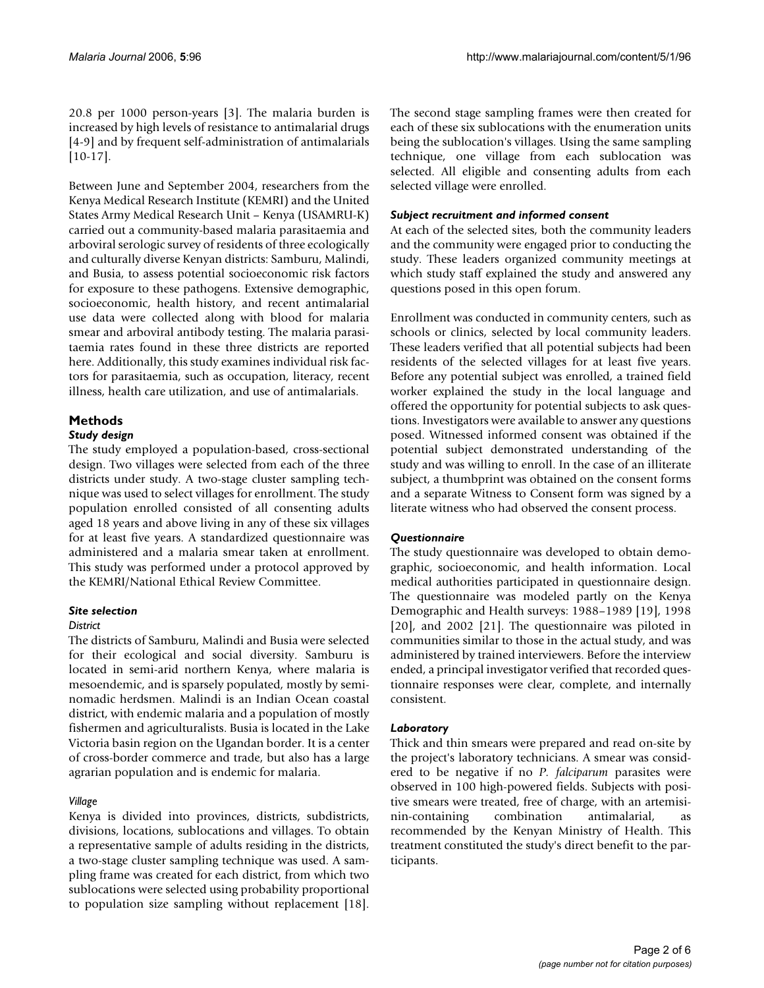20.8 per 1000 person-years [3]. The malaria burden is increased by high levels of resistance to antimalarial drugs [4-9] and by frequent self-administration of antimalarials [10-17].

Between June and September 2004, researchers from the Kenya Medical Research Institute (KEMRI) and the United States Army Medical Research Unit – Kenya (USAMRU-K) carried out a community-based malaria parasitaemia and arboviral serologic survey of residents of three ecologically and culturally diverse Kenyan districts: Samburu, Malindi, and Busia, to assess potential socioeconomic risk factors for exposure to these pathogens. Extensive demographic, socioeconomic, health history, and recent antimalarial use data were collected along with blood for malaria smear and arboviral antibody testing. The malaria parasitaemia rates found in these three districts are reported here. Additionally, this study examines individual risk factors for parasitaemia, such as occupation, literacy, recent illness, health care utilization, and use of antimalarials.

### **Methods**

#### *Study design*

The study employed a population-based, cross-sectional design. Two villages were selected from each of the three districts under study. A two-stage cluster sampling technique was used to select villages for enrollment. The study population enrolled consisted of all consenting adults aged 18 years and above living in any of these six villages for at least five years. A standardized questionnaire was administered and a malaria smear taken at enrollment. This study was performed under a protocol approved by the KEMRI/National Ethical Review Committee.

#### *Site selection*

#### *District*

The districts of Samburu, Malindi and Busia were selected for their ecological and social diversity. Samburu is located in semi-arid northern Kenya, where malaria is mesoendemic, and is sparsely populated, mostly by seminomadic herdsmen. Malindi is an Indian Ocean coastal district, with endemic malaria and a population of mostly fishermen and agriculturalists. Busia is located in the Lake Victoria basin region on the Ugandan border. It is a center of cross-border commerce and trade, but also has a large agrarian population and is endemic for malaria.

#### *Village*

Kenya is divided into provinces, districts, subdistricts, divisions, locations, sublocations and villages. To obtain a representative sample of adults residing in the districts, a two-stage cluster sampling technique was used. A sampling frame was created for each district, from which two sublocations were selected using probability proportional to population size sampling without replacement [18].

The second stage sampling frames were then created for each of these six sublocations with the enumeration units being the sublocation's villages. Using the same sampling technique, one village from each sublocation was selected. All eligible and consenting adults from each selected village were enrolled.

#### *Subject recruitment and informed consent*

At each of the selected sites, both the community leaders and the community were engaged prior to conducting the study. These leaders organized community meetings at which study staff explained the study and answered any questions posed in this open forum.

Enrollment was conducted in community centers, such as schools or clinics, selected by local community leaders. These leaders verified that all potential subjects had been residents of the selected villages for at least five years. Before any potential subject was enrolled, a trained field worker explained the study in the local language and offered the opportunity for potential subjects to ask questions. Investigators were available to answer any questions posed. Witnessed informed consent was obtained if the potential subject demonstrated understanding of the study and was willing to enroll. In the case of an illiterate subject, a thumbprint was obtained on the consent forms and a separate Witness to Consent form was signed by a literate witness who had observed the consent process.

#### *Questionnaire*

The study questionnaire was developed to obtain demographic, socioeconomic, and health information. Local medical authorities participated in questionnaire design. The questionnaire was modeled partly on the Kenya Demographic and Health surveys: 1988–1989 [19], 1998 [20], and 2002 [21]. The questionnaire was piloted in communities similar to those in the actual study, and was administered by trained interviewers. Before the interview ended, a principal investigator verified that recorded questionnaire responses were clear, complete, and internally consistent.

#### *Laboratory*

Thick and thin smears were prepared and read on-site by the project's laboratory technicians. A smear was considered to be negative if no *P. falciparum* parasites were observed in 100 high-powered fields. Subjects with positive smears were treated, free of charge, with an artemisinin-containing combination antimalarial, as recommended by the Kenyan Ministry of Health. This treatment constituted the study's direct benefit to the participants.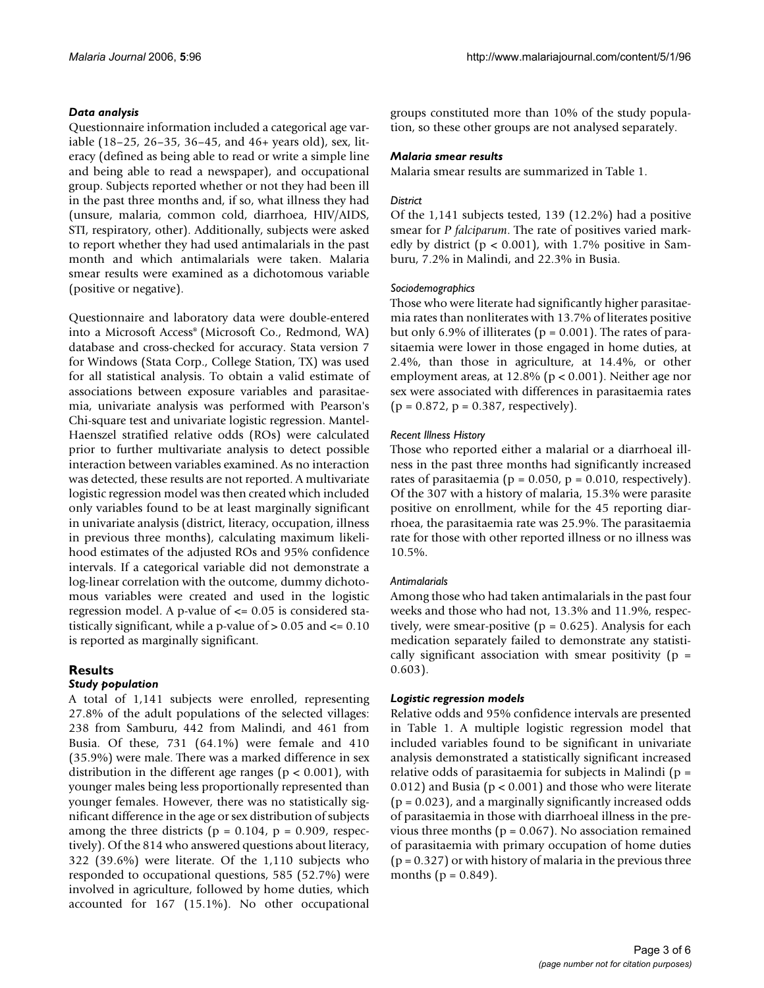#### *Data analysis*

Questionnaire information included a categorical age variable (18–25, 26–35, 36–45, and 46+ years old), sex, literacy (defined as being able to read or write a simple line and being able to read a newspaper), and occupational group. Subjects reported whether or not they had been ill in the past three months and, if so, what illness they had (unsure, malaria, common cold, diarrhoea, HIV/AIDS, STI, respiratory, other). Additionally, subjects were asked to report whether they had used antimalarials in the past month and which antimalarials were taken. Malaria smear results were examined as a dichotomous variable (positive or negative).

Questionnaire and laboratory data were double-entered into a Microsoft Access® (Microsoft Co., Redmond, WA) database and cross-checked for accuracy. Stata version 7 for Windows (Stata Corp., College Station, TX) was used for all statistical analysis. To obtain a valid estimate of associations between exposure variables and parasitaemia, univariate analysis was performed with Pearson's Chi-square test and univariate logistic regression. Mantel-Haenszel stratified relative odds (ROs) were calculated prior to further multivariate analysis to detect possible interaction between variables examined. As no interaction was detected, these results are not reported. A multivariate logistic regression model was then created which included only variables found to be at least marginally significant in univariate analysis (district, literacy, occupation, illness in previous three months), calculating maximum likelihood estimates of the adjusted ROs and 95% confidence intervals. If a categorical variable did not demonstrate a log-linear correlation with the outcome, dummy dichotomous variables were created and used in the logistic regression model. A p-value of <= 0.05 is considered statistically significant, while a p-value of > 0.05 and <= 0.10 is reported as marginally significant.

## **Results**

#### *Study population*

A total of 1,141 subjects were enrolled, representing 27.8% of the adult populations of the selected villages: 238 from Samburu, 442 from Malindi, and 461 from Busia. Of these, 731 (64.1%) were female and 410 (35.9%) were male. There was a marked difference in sex distribution in the different age ranges ( $p < 0.001$ ), with younger males being less proportionally represented than younger females. However, there was no statistically significant difference in the age or sex distribution of subjects among the three districts ( $p = 0.104$ ,  $p = 0.909$ , respectively). Of the 814 who answered questions about literacy, 322 (39.6%) were literate. Of the 1,110 subjects who responded to occupational questions, 585 (52.7%) were involved in agriculture, followed by home duties, which accounted for 167 (15.1%). No other occupational

groups constituted more than 10% of the study population, so these other groups are not analysed separately.

#### *Malaria smear results*

Malaria smear results are summarized in Table 1.

#### *District*

Of the 1,141 subjects tested, 139 (12.2%) had a positive smear for *P falciparum*. The rate of positives varied markedly by district ( $p < 0.001$ ), with 1.7% positive in Samburu, 7.2% in Malindi, and 22.3% in Busia.

#### *Sociodemographics*

Those who were literate had significantly higher parasitaemia rates than nonliterates with 13.7% of literates positive but only 6.9% of illiterates ( $p = 0.001$ ). The rates of parasitaemia were lower in those engaged in home duties, at 2.4%, than those in agriculture, at 14.4%, or other employment areas, at  $12.8\%$  (p < 0.001). Neither age nor sex were associated with differences in parasitaemia rates  $(p = 0.872, p = 0.387, respectively).$ 

#### *Recent Illness History*

Those who reported either a malarial or a diarrhoeal illness in the past three months had significantly increased rates of parasitaemia ( $p = 0.050$ ,  $p = 0.010$ , respectively). Of the 307 with a history of malaria, 15.3% were parasite positive on enrollment, while for the 45 reporting diarrhoea, the parasitaemia rate was 25.9%. The parasitaemia rate for those with other reported illness or no illness was 10.5%.

#### *Antimalarials*

Among those who had taken antimalarials in the past four weeks and those who had not, 13.3% and 11.9%, respectively, were smear-positive ( $p = 0.625$ ). Analysis for each medication separately failed to demonstrate any statistically significant association with smear positivity  $(p =$ 0.603).

#### *Logistic regression models*

Relative odds and 95% confidence intervals are presented in Table 1. A multiple logistic regression model that included variables found to be significant in univariate analysis demonstrated a statistically significant increased relative odds of parasitaemia for subjects in Malindi (p = 0.012) and Busia (p < 0.001) and those who were literate  $(p = 0.023)$ , and a marginally significantly increased odds of parasitaemia in those with diarrhoeal illness in the previous three months ( $p = 0.067$ ). No association remained of parasitaemia with primary occupation of home duties  $(p = 0.327)$  or with history of malaria in the previous three months ( $p = 0.849$ ).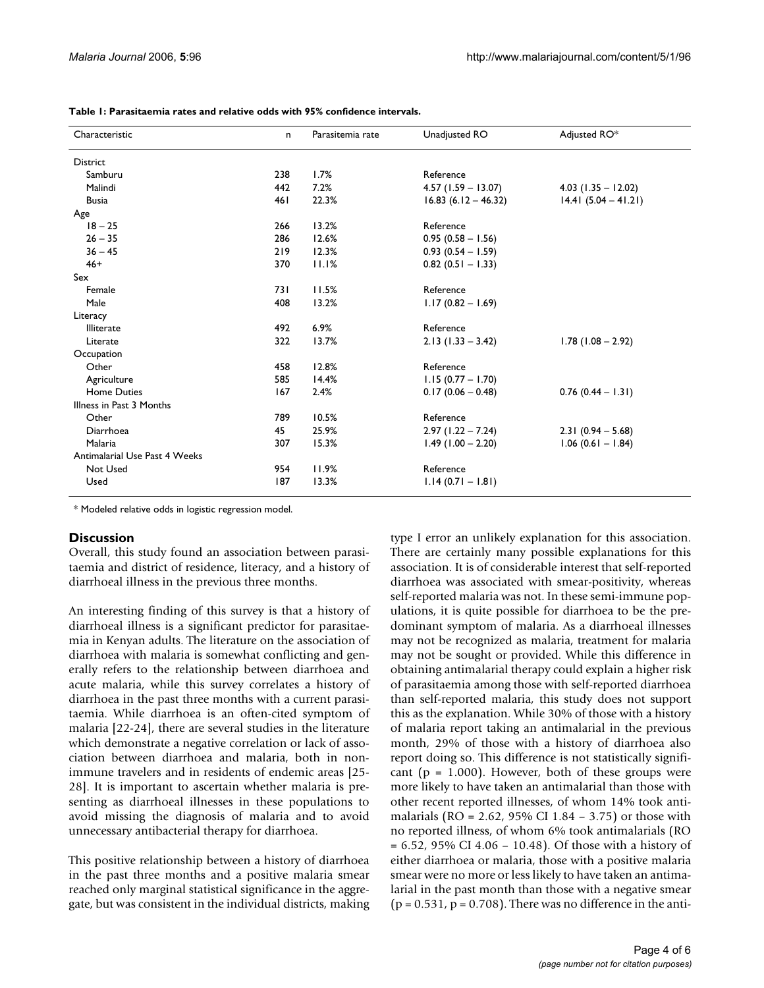| Characteristic                | $\mathsf{n}$ | Parasitemia rate | Unadjusted RO         | Adjusted RO*          |
|-------------------------------|--------------|------------------|-----------------------|-----------------------|
| District                      |              |                  |                       |                       |
| Samburu                       | 238          | 1.7%             | Reference             |                       |
| Malindi                       | 442          | 7.2%             | $4.57$ (1.59 - 13.07) | $4.03$ (1.35 - 12.02) |
| <b>Busia</b>                  | 461          | 22.3%            | $16.83(6.12 - 46.32)$ | $14.41(5.04 - 41.21)$ |
| Age                           |              |                  |                       |                       |
| $18 - 25$                     | 266          | 13.2%            | Reference             |                       |
| $26 - 35$                     | 286          | 12.6%            | $0.95(0.58 - 1.56)$   |                       |
| $36 - 45$                     | 219          | 12.3%            | $0.93(0.54 - 1.59)$   |                       |
| $46+$                         | 370          | 11.1%            | $0.82$ (0.51 - 1.33)  |                       |
| Sex                           |              |                  |                       |                       |
| Female                        | 73 I         | 11.5%            | Reference             |                       |
| Male                          | 408          | 13.2%            | $1.17(0.82 - 1.69)$   |                       |
| Literacy                      |              |                  |                       |                       |
| <b>Illiterate</b>             | 492          | 6.9%             | Reference             |                       |
| Literate                      | 322          | 13.7%            | $2.13(1.33 - 3.42)$   | $1.78(1.08 - 2.92)$   |
| Occupation                    |              |                  |                       |                       |
| Other                         | 458          | 12.8%            | Reference             |                       |
| Agriculture                   | 585          | 14.4%            | $1.15(0.77 - 1.70)$   |                       |
| <b>Home Duties</b>            | 167          | 2.4%             | $0.17(0.06 - 0.48)$   | $0.76$ (0.44 – 1.31)  |
| Illness in Past 3 Months      |              |                  |                       |                       |
| Other                         | 789          | 10.5%            | Reference             |                       |
| Diarrhoea                     | 45           | 25.9%            | $2.97(1.22 - 7.24)$   | $2.31(0.94 - 5.68)$   |
| Malaria                       | 307          | 15.3%            | $1.49(1.00 - 2.20)$   | $1.06(0.61 - 1.84)$   |
| Antimalarial Use Past 4 Weeks |              |                  |                       |                       |
| Not Used                      | 954          | 11.9%            | Reference             |                       |
| Used                          | 187          | 13.3%            | $1.14(0.71 - 1.81)$   |                       |

**Table 1: Parasitaemia rates and relative odds with 95% confidence intervals.**

\* Modeled relative odds in logistic regression model.

#### **Discussion**

Overall, this study found an association between parasitaemia and district of residence, literacy, and a history of diarrhoeal illness in the previous three months.

An interesting finding of this survey is that a history of diarrhoeal illness is a significant predictor for parasitaemia in Kenyan adults. The literature on the association of diarrhoea with malaria is somewhat conflicting and generally refers to the relationship between diarrhoea and acute malaria, while this survey correlates a history of diarrhoea in the past three months with a current parasitaemia. While diarrhoea is an often-cited symptom of malaria [22-24], there are several studies in the literature which demonstrate a negative correlation or lack of association between diarrhoea and malaria, both in nonimmune travelers and in residents of endemic areas [25- 28]. It is important to ascertain whether malaria is presenting as diarrhoeal illnesses in these populations to avoid missing the diagnosis of malaria and to avoid unnecessary antibacterial therapy for diarrhoea.

This positive relationship between a history of diarrhoea in the past three months and a positive malaria smear reached only marginal statistical significance in the aggregate, but was consistent in the individual districts, making type I error an unlikely explanation for this association. There are certainly many possible explanations for this association. It is of considerable interest that self-reported diarrhoea was associated with smear-positivity, whereas self-reported malaria was not. In these semi-immune populations, it is quite possible for diarrhoea to be the predominant symptom of malaria. As a diarrhoeal illnesses may not be recognized as malaria, treatment for malaria may not be sought or provided. While this difference in obtaining antimalarial therapy could explain a higher risk of parasitaemia among those with self-reported diarrhoea than self-reported malaria, this study does not support this as the explanation. While 30% of those with a history of malaria report taking an antimalarial in the previous month, 29% of those with a history of diarrhoea also report doing so. This difference is not statistically significant ( $p = 1.000$ ). However, both of these groups were more likely to have taken an antimalarial than those with other recent reported illnesses, of whom 14% took antimalarials (RO = 2.62, 95% CI 1.84 – 3.75) or those with no reported illness, of whom 6% took antimalarials (RO = 6.52, 95% CI 4.06 – 10.48). Of those with a history of either diarrhoea or malaria, those with a positive malaria smear were no more or less likely to have taken an antimalarial in the past month than those with a negative smear  $(p = 0.531, p = 0.708)$ . There was no difference in the anti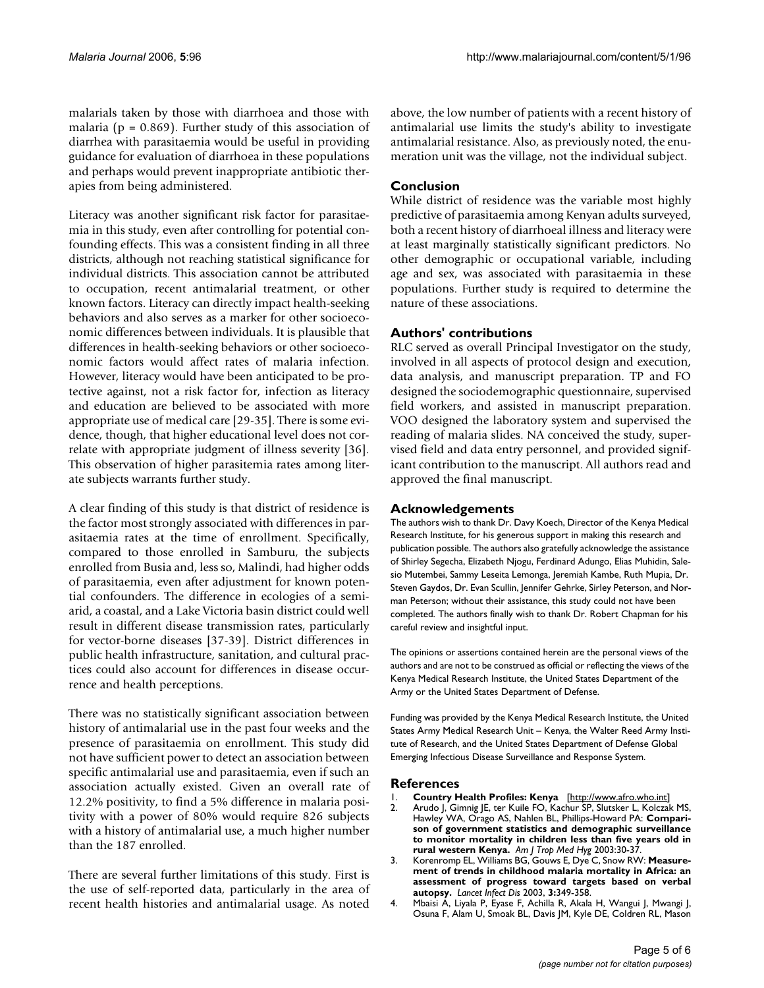malarials taken by those with diarrhoea and those with malaria ( $p = 0.869$ ). Further study of this association of diarrhea with parasitaemia would be useful in providing guidance for evaluation of diarrhoea in these populations and perhaps would prevent inappropriate antibiotic therapies from being administered.

Literacy was another significant risk factor for parasitaemia in this study, even after controlling for potential confounding effects. This was a consistent finding in all three districts, although not reaching statistical significance for individual districts. This association cannot be attributed to occupation, recent antimalarial treatment, or other known factors. Literacy can directly impact health-seeking behaviors and also serves as a marker for other socioeconomic differences between individuals. It is plausible that differences in health-seeking behaviors or other socioeconomic factors would affect rates of malaria infection. However, literacy would have been anticipated to be protective against, not a risk factor for, infection as literacy and education are believed to be associated with more appropriate use of medical care [29-35]. There is some evidence, though, that higher educational level does not correlate with appropriate judgment of illness severity [36]. This observation of higher parasitemia rates among literate subjects warrants further study.

A clear finding of this study is that district of residence is the factor most strongly associated with differences in parasitaemia rates at the time of enrollment. Specifically, compared to those enrolled in Samburu, the subjects enrolled from Busia and, less so, Malindi, had higher odds of parasitaemia, even after adjustment for known potential confounders. The difference in ecologies of a semiarid, a coastal, and a Lake Victoria basin district could well result in different disease transmission rates, particularly for vector-borne diseases [37-39]. District differences in public health infrastructure, sanitation, and cultural practices could also account for differences in disease occurrence and health perceptions.

There was no statistically significant association between history of antimalarial use in the past four weeks and the presence of parasitaemia on enrollment. This study did not have sufficient power to detect an association between specific antimalarial use and parasitaemia, even if such an association actually existed. Given an overall rate of 12.2% positivity, to find a 5% difference in malaria positivity with a power of 80% would require 826 subjects with a history of antimalarial use, a much higher number than the 187 enrolled.

There are several further limitations of this study. First is the use of self-reported data, particularly in the area of recent health histories and antimalarial usage. As noted above, the low number of patients with a recent history of antimalarial use limits the study's ability to investigate antimalarial resistance. Also, as previously noted, the enumeration unit was the village, not the individual subject.

## **Conclusion**

While district of residence was the variable most highly predictive of parasitaemia among Kenyan adults surveyed, both a recent history of diarrhoeal illness and literacy were at least marginally statistically significant predictors. No other demographic or occupational variable, including age and sex, was associated with parasitaemia in these populations. Further study is required to determine the nature of these associations.

### **Authors' contributions**

RLC served as overall Principal Investigator on the study, involved in all aspects of protocol design and execution, data analysis, and manuscript preparation. TP and FO designed the sociodemographic questionnaire, supervised field workers, and assisted in manuscript preparation. VOO designed the laboratory system and supervised the reading of malaria slides. NA conceived the study, supervised field and data entry personnel, and provided significant contribution to the manuscript. All authors read and approved the final manuscript.

#### **Acknowledgements**

The authors wish to thank Dr. Davy Koech, Director of the Kenya Medical Research Institute, for his generous support in making this research and publication possible. The authors also gratefully acknowledge the assistance of Shirley Segecha, Elizabeth Njogu, Ferdinard Adungo, Elias Muhidin, Salesio Mutembei, Sammy Leseita Lemonga, Jeremiah Kambe, Ruth Mupia, Dr. Steven Gaydos, Dr. Evan Scullin, Jennifer Gehrke, Sirley Peterson, and Norman Peterson; without their assistance, this study could not have been completed. The authors finally wish to thank Dr. Robert Chapman for his careful review and insightful input.

The opinions or assertions contained herein are the personal views of the authors and are not to be construed as official or reflecting the views of the Kenya Medical Research Institute, the United States Department of the Army or the United States Department of Defense.

Funding was provided by the Kenya Medical Research Institute, the United States Army Medical Research Unit – Kenya, the Walter Reed Army Institute of Research, and the United States Department of Defense Global Emerging Infectious Disease Surveillance and Response System.

#### **References**

- 1. **Country Health Profiles: Kenya** [\[http://www.afro.who.int\]](http://www.afro.who.int)<br>2. Arudo I. Gimnig IE. ter Kuile FO. Kachur SP. Slutsker L. Kolczal
- 2. Arudo J, Gimnig JE, ter Kuile FO, Kachur SP, Slutsker L, Kolczak MS, Hawley WA, Orago AS, Nahlen BL, Phillips-Howard PA: **Comparison of government statistics and demographic surveillance to monitor mortality in children less than five years old in rural western Kenya.** *Am J Trop Med Hyg* 2003:30-37.
- 3. Korenromp EL, Williams BG, Gouws E, Dye C, Snow RW: **[Measure](http://www.ncbi.nlm.nih.gov/entrez/query.fcgi?cmd=Retrieve&db=PubMed&dopt=Abstract&list_uids=12781507)[ment of trends in childhood malaria mortality in Africa: an](http://www.ncbi.nlm.nih.gov/entrez/query.fcgi?cmd=Retrieve&db=PubMed&dopt=Abstract&list_uids=12781507) assessment of progress toward targets based on verbal [autopsy.](http://www.ncbi.nlm.nih.gov/entrez/query.fcgi?cmd=Retrieve&db=PubMed&dopt=Abstract&list_uids=12781507)** *Lancet Infect Dis* 2003, **3:**349-358.
- 4. Mbaisi A, Liyala P, Eyase F, Achilla R, Akala H, Wangui J, Mwangi J, Osuna F, Alam U, Smoak BL, Davis JM, Kyle DE, Coldren RL, Mason